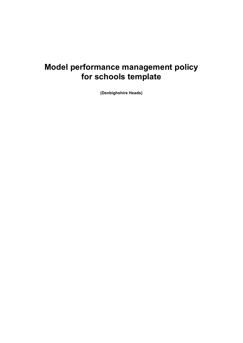# **Model performance management policy for schools template**

**(Denbighshire Heads)**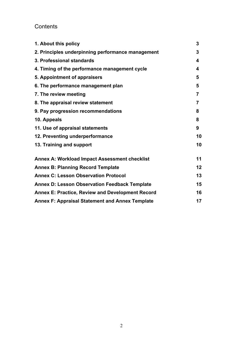## **Contents**

| 1. About this policy                                    | 3              |
|---------------------------------------------------------|----------------|
| 2. Principles underpinning performance management       | 3              |
| 3. Professional standards                               | 4              |
| 4. Timing of the performance management cycle           | 4              |
| 5. Appointment of appraisers                            | 5              |
| 6. The performance management plan                      | 5              |
| 7. The review meeting                                   | 7              |
| 8. The appraisal review statement                       | $\overline{7}$ |
| 9. Pay progression recommendations                      | 8              |
| 10. Appeals                                             | 8              |
| 11. Use of appraisal statements                         | 9              |
| 12. Preventing underperformance                         | 10             |
| 13. Training and support                                | 10             |
| Annex A: Workload Impact Assessment checklist           | 11             |
| <b>Annex B: Planning Record Template</b>                | 12             |
| <b>Annex C: Lesson Observation Protocol</b>             | 13             |
| <b>Annex D: Lesson Observation Feedback Template</b>    | 15             |
| <b>Annex E: Practice, Review and Development Record</b> | 16             |
| <b>Annex F: Appraisal Statement and Annex Template</b>  | 17             |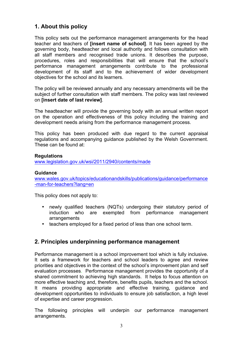## **1. About this policy**

This policy sets out the performance management arrangements for the head teacher and teachers of **[insert name of school]**. It has been agreed by the governing body, headteacher and local authority and follows consultation with all staff members and recognised trade unions. It describes the purpose, procedures, roles and responsibilities that will ensure that the school's performance management arrangements contribute to the professional development of its staff and to the achievement of wider development objectives for the school and its learners.

The policy will be reviewed annually and any necessary amendments will be the subject of further consultation with staff members. The policy was last reviewed on **[insert date of last review]**.

The headteacher will provide the governing body with an annual written report on the operation and effectiveness of this policy including the training and development needs arising from the performance management process.

This policy has been produced with due regard to the current appraisal regulations and accompanying guidance published by the Welsh Government. These can be found at:

#### **Regulations**

www.legislation.gov.uk/wsi/2011/2940/contents/made

#### **Guidance**

www.wales.gov.uk/topics/educationandskills/publications/guidance/performance -man-for-teachers?lang=en

This policy does not apply to:

- newly qualified teachers (NQTs) undergoing their statutory period of induction who are exempted from performance management arrangements
- teachers employed for a fixed period of less than one school term.

## **2. Principles underpinning performance management**

Performance management is a school improvement tool which is fully inclusive. It sets a framework for teachers and school leaders to agree and review priorities and objectives in the context of the school's improvement plan and self evaluation processes. Performance management provides the opportunity of a shared commitment to achieving high standards. It helps to focus attention on more effective teaching and, therefore, benefits pupils, teachers and the school. It means providing appropriate and effective training, guidance and development opportunities to individuals to ensure job satisfaction, a high level of expertise and career progression.

The following principles will underpin our performance management arrangements.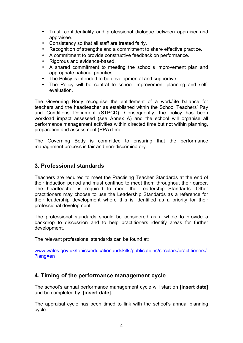- Trust, confidentiality and professional dialogue between appraiser and appraisee.
- Consistency so that all staff are treated fairly.
- Recognition of strengths and a commitment to share effective practice.
- A commitment to provide constructive feedback on performance.
- Rigorous and evidence-based.
- A shared commitment to meeting the school's improvement plan and appropriate national priorities.
- The Policy is intended to be developmental and supportive.
- The Policy will be central to school improvement planning and selfevaluation.

The Governing Body recognise the entitlement of a work/life balance for teachers and the headteacher as established within the School Teachers' Pay and Conditions Document (STPCD). Consequently, the policy has been workload impact assessed (see Annex A) and the school will organise all performance management activities within directed time but not within planning, preparation and assessment (PPA) time.

The Governing Body is committed to ensuring that the performance management process is fair and non-discriminatory.

## **3. Professional standards**

Teachers are required to meet the Practising Teacher Standards at the end of their induction period and must continue to meet them throughout their career. The headteacher is required to meet the Leadership Standards. Other practitioners may choose to use the Leadership Standards as a reference for their leadership development where this is identified as a priority for their professional development.

The professional standards should be considered as a whole to provide a backdrop to discussion and to help practitioners identify areas for further development.

The relevant professional standards can be found at:

www.wales.gov.uk/topics/educationandskills/publications/circulars/practitioners/ ?lang=en

## **4. Timing of the performance management cycle**

The school's annual performance management cycle will start on **[insert date]** and be completed by **[insert date].**

The appraisal cycle has been timed to link with the school's annual planning cycle.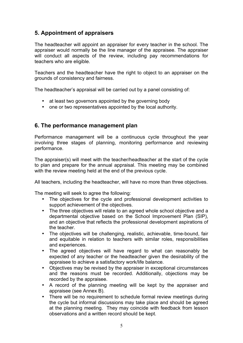## **5. Appointment of appraisers**

The headteacher will appoint an appraiser for every teacher in the school. The appraiser would normally be the line manager of the appraisee. The appraiser will conduct all aspects of the review, including pay recommendations for teachers who are eligible.

Teachers and the headteacher have the right to object to an appraiser on the grounds of consistency and fairness.

The headteacher's appraisal will be carried out by a panel consisting of:

- at least two governors appointed by the governing body
- one or two representatives appointed by the local authority.

#### **6. The performance management plan**

Performance management will be a continuous cycle throughout the year involving three stages of planning, monitoring performance and reviewing performance.

The appraiser(s) will meet with the teacher/headteacher at the start of the cycle to plan and prepare for the annual appraisal. This meeting may be combined with the review meeting held at the end of the previous cycle.

All teachers, including the headteacher, will have no more than three objectives.

The meeting will seek to agree the following:

- The objectives for the cycle and professional development activities to support achievement of the objectives.
- The three objectives will relate to an agreed whole school objective and a departmental objective based on the School Improvement Plan (SIP), and an objective that reflects the professional development aspirations of the teacher.
- The objectives will be challenging, realistic, achievable, time-bound, fair and equitable in relation to teachers with similar roles, responsibilities and experiences.
- The agreed objectives will have regard to what can reasonably be expected of any teacher or the headteacher given the desirability of the appraisee to achieve a satisfactory work/life balance.
- Objectives may be revised by the appraiser in exceptional circumstances and the reasons must be recorded. Additionally, objections may be recorded by the appraisee.
- A record of the planning meeting will be kept by the appraiser and appraisee (see Annex B).
- There will be no requirement to schedule formal review meetings during the cycle but informal discussions may take place and should be agreed at the planning meeting. They may coincide with feedback from lesson observations and a written record should be kept.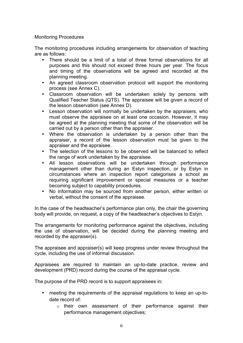#### Monitoring Procedures

The monitoring procedures including arrangements for observation of teaching are as follows:

- There should be a limit of a total of three formal observations for all purposes and this should not exceed three hours per year. The focus and timing of the observations will be agreed and recorded at the planning meeting.
- An agreed classroom observation protocol will support the monitoring process (see Annex C).
- Classroom observation will be undertaken solely by persons with Qualified Teacher Status (QTS). The appraisee will be given a record of the lesson observation (see Annex D).
- Lesson observation will normally be undertaken by the appraisers, who must observe the appraisee on at least one occasion. However, it may be agreed at the planning meeting that some of the observation will be carried out by a person other than the appraiser.
- Where the observation is undertaken by a person other than the appraiser, a record of the lesson observation must be given to the appraiser and the appraisee.
- The selection of the lessons to be observed will be balanced to reflect the range of work undertaken by the appraisee.
- All lesson observations will be undertaken through performance management other than during an Estyn inspection, or by Estyn in circumstances where an inspection report categorises a school as requiring significant improvement or special measures or a teacher becoming subject to capability procedures.
- No information may be sourced from another person, either written or verbal, without the consent of the appraisee.

In the case of the headteacher's performance plan only, the chair the governing body will provide, on request, a copy of the headteacher's objectives to Estyn.

The arrangements for monitoring performance against the objectives, including the use of observation, will be decided during the planning meeting and recorded by the appraiser(s).

The appraisee and appraiser(s) will keep progress under review throughout the cycle, including the use of informal discussion.

Appraisees are required to maintain an up-to-date practice, review and development (PRD) record during the course of the appraisal cycle.

The purpose of the PRD record is to support appraisees in:

- meeting the requirements of the appraisal regulations to keep an up-todate record of:
	- o their own assessment of their performance against their performance management objectives;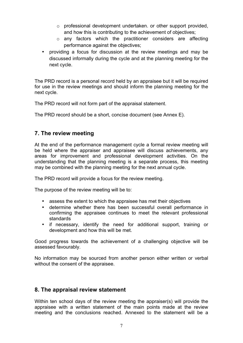- o professional development undertaken. or other support provided, and how this is contributing to the achievement of objectives;
- o any factors which the practitioner considers are affecting performance against the objectives;
- providing a focus for discussion at the review meetings and may be discussed informally during the cycle and at the planning meeting for the next cycle.

The PRD record is a personal record held by an appraisee but it will be required for use in the review meetings and should inform the planning meeting for the next cycle.

The PRD record will not form part of the appraisal statement.

The PRD record should be a short, concise document (see Annex E).

## **7. The review meeting**

At the end of the performance management cycle a formal review meeting will be held where the appraiser and appraisee will discuss achievements, any areas for improvement and professional development activities. On the understanding that the planning meeting is a separate process, this meeting may be combined with the planning meeting for the next annual cycle.

The PRD record will provide a focus for the review meeting.

The purpose of the review meeting will be to:

- assess the extent to which the appraisee has met their objectives
- determine whether there has been successful overall performance in confirming the appraisee continues to meet the relevant professional standards
- if necessary, identify the need for additional support, training or development and how this will be met.

Good progress towards the achievement of a challenging objective will be assessed favourably.

No information may be sourced from another person either written or verbal without the consent of the appraisee.

### **8. The appraisal review statement**

Within ten school days of the review meeting the appraiser(s) will provide the appraisee with a written statement of the main points made at the review meeting and the conclusions reached. Annexed to the statement will be a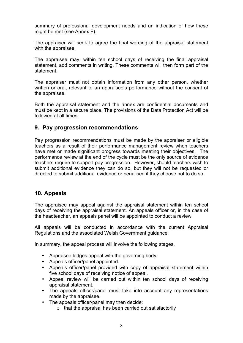summary of professional development needs and an indication of how these might be met (see Annex F).

The appraiser will seek to agree the final wording of the appraisal statement with the appraisee.

The appraisee may, within ten school days of receiving the final appraisal statement, add comments in writing. These comments will then form part of the statement.

The appraiser must not obtain information from any other person, whether written or oral, relevant to an appraisee's performance without the consent of the appraisee.

Both the appraisal statement and the annex are confidential documents and must be kept in a secure place. The provisions of the Data Protection Act will be followed at all times.

## **9. Pay progression recommendations**

Pay progression recommendations must be made by the appraiser or eligible teachers as a result of their performance management review when teachers have met or made significant progress towards meeting their objectives. The performance review at the end of the cycle must be the only source of evidence teachers require to support pay progression. However, should teachers wish to submit additional evidence they can do so, but they will not be requested or directed to submit additional evidence or penalised if they choose not to do so.

## **10. Appeals**

The appraisee may appeal against the appraisal statement within ten school days of receiving the appraisal statement. An appeals officer or, in the case of the headteacher, an appeals panel will be appointed to conduct a review.

All appeals will be conducted in accordance with the current Appraisal Regulations and the associated Welsh Government guidance.

In summary, the appeal process will involve the following stages.

- Appraisee lodges appeal with the governing body.
- Appeals officer/panel appointed.
- Appeals officer/panel provided with copy of appraisal statement within five school days of receiving notice of appeal.
- Appeal review will be carried out within ten school days of receiving appraisal statement.
- The appeals officer/panel must take into account any representations made by the appraisee.
- The appeals officer/panel may then decide:
	- $\circ$  that the appraisal has been carried out satisfactorily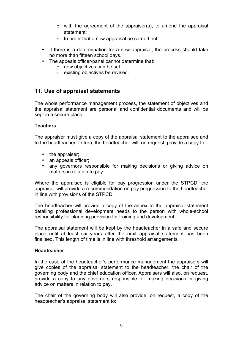- $\circ$  with the agreement of the appraiser(s), to amend the appraisal statement;
- $\circ$  to order that a new appraisal be carried out.
- If there is a determination for a new appraisal, the process should take no more than fifteen school days.
- The appeals officer/panel cannot determine that:
	- o new objectives can be set
	- o existing objectives be revised.

## **11. Use of appraisal statements**

The whole performance management process, the statement of objectives and the appraisal statement are personal and confidential documents and will be kept in a secure place.

#### **Teachers**

The appraiser must give a copy of the appraisal statement to the appraisee and to the headteacher. In turn, the headteacher will, on request, provide a copy to:

- the appraiser;
- an appeals officer:
- any governors responsible for making decisions or giving advice on matters in relation to pay.

Where the appraisee is eligible for pay progression under the STPCD, the appraiser will provide a recommendation on pay progression to the headteacher in line with provisions of the STPCD.

The headteacher will provide a copy of the annex to the appraisal statement detailing professional development needs to the person with whole-school responsibility for planning provision for training and development.

The appraisal statement will be kept by the headteacher in a safe and secure place until at least six years after the next appraisal statement has been finalised. This length of time is in line with threshold arrangements.

#### **Headteacher**

In the case of the headteacher's performance management the appraisers will give copies of the appraisal statement to the headteacher, the chair of the governing body and the chief education officer. Appraisers will also, on request, provide a copy to any governors responsible for making decisions or giving advice on matters in relation to pay.

The chair of the governing body will also provide, on request, a copy of the headteacher's appraisal statement to: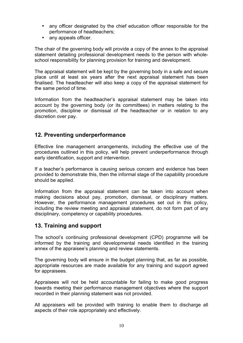- any officer designated by the chief education officer responsible for the performance of headteachers;
- any appeals officer.

The chair of the governing body will provide a copy of the annex to the appraisal statement detailing professional development needs to the person with wholeschool responsibility for planning provision for training and development.

The appraisal statement will be kept by the governing body in a safe and secure place until at least six years after the next appraisal statement has been finalised. The headteacher will also keep a copy of the appraisal statement for the same period of time.

Information from the headteacher's appraisal statement may be taken into account by the governing body (or its committees) in matters relating to the promotion, discipline or dismissal of the headteacher or in relation to any discretion over pay.

## **12. Preventing underperformance**

Effective line management arrangements, including the effective use of the procedures outlined in this policy, will help prevent underperformance through early identification, support and intervention.

If a teacher's performance is causing serious concern and evidence has been provided to demonstrate this, then the informal stage of the capability procedure should be applied.

Information from the appraisal statement can be taken into account when making decisions about pay, promotion, dismissal, or disciplinary matters. However, the performance management procedures set out in this policy, including the review meeting and appraisal statement, do not form part of any disciplinary, competency or capability procedures.

### **13. Training and support**

The school's continuing professional development (CPD) programme will be informed by the training and developmental needs identified in the training annex of the appraisee's planning and review statements.

The governing body will ensure in the budget planning that, as far as possible, appropriate resources are made available for any training and support agreed for appraisees.

Appraisees will not be held accountable for failing to make good progress towards meeting their performance management objectives where the support recorded in their planning statement was not provided.

All appraisers will be provided with training to enable them to discharge all aspects of their role appropriately and effectively.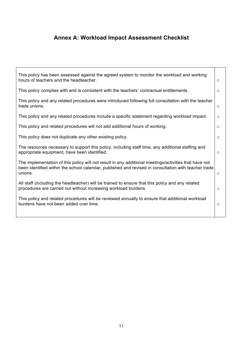## **Annex A: Workload Impact Assessment Checklist**

| This policy has been assessed against the agreed system to monitor the workload and working<br>hours of teachers and the headteacher.                                                                                    | □      |
|--------------------------------------------------------------------------------------------------------------------------------------------------------------------------------------------------------------------------|--------|
| This policy complies with and is consistent with the teachers' contractual entitlements.                                                                                                                                 | $\Box$ |
| This policy and any related procedures were introduced following full consultation with the teacher<br>trade unions.                                                                                                     | $\Box$ |
| This policy and any related procedures include a specific statement regarding workload impact.                                                                                                                           | $\Box$ |
| This policy and related procedures will not add additional hours of working.                                                                                                                                             | $\Box$ |
| This policy does not duplicate any other existing policy.                                                                                                                                                                | $\Box$ |
| The resources necessary to support this policy, including staff time, any additional staffing and<br>appropriate equipment, have been identified.                                                                        | $\Box$ |
| The implementation of this policy will not result in any additional meetings/activities that have not<br>been identified within the school calendar, published and revised in consultation with teacher trade<br>unions. | $\Box$ |
| All staff (including the headteacher) will be trained to ensure that this policy and any related<br>procedures are carried out without increasing workload burdens.                                                      | $\Box$ |
| This policy and related procedures will be reviewed annually to ensure that additional workload<br>burdens have not been added over time.                                                                                | $\Box$ |
|                                                                                                                                                                                                                          |        |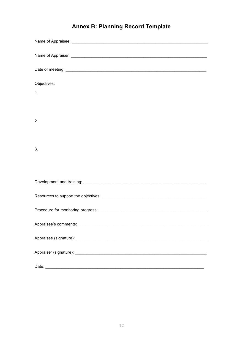| <b>Annex B: Planning Record Template</b> |  |  |  |  |
|------------------------------------------|--|--|--|--|
|------------------------------------------|--|--|--|--|

| Objectives: |
|-------------|
| 1.          |
|             |
|             |
| 2.          |
|             |
| 3.          |
|             |
|             |
|             |
|             |
|             |
|             |
|             |
|             |
|             |
|             |
| Date:       |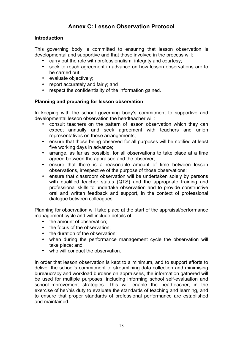## **Annex C: Lesson Observation Protocol**

#### **Introduction**

This governing body is committed to ensuring that lesson observation is developmental and supportive and that those involved in the process will:

- carry out the role with professionalism, integrity and courtesy;
- seek to reach agreement in advance on how lesson observations are to be carried out;
- evaluate objectively;
- report accurately and fairly; and
- respect the confidentiality of the information gained.

#### **Planning and preparing for lesson observation**

In keeping with the school governing body's commitment to supportive and developmental lesson observation the headteacher will:

- consult teachers on the pattern of lesson observation which they can expect annually and seek agreement with teachers and union representatives on these arrangements;
- ensure that those being observed for all purposes will be notified at least five working days in advance;
- arrange, as far as possible, for all observations to take place at a time agreed between the appraisee and the observer;
- ensure that there is a reasonable amount of time between lesson observations, irrespective of the purpose of those observations;
- ensure that classroom observation will be undertaken solely by persons with qualified teacher status (QTS) and the appropriate training and professional skills to undertake observation and to provide constructive oral and written feedback and support, in the context of professional dialogue between colleagues.

Planning for observation will take place at the start of the appraisal/performance management cycle and will include details of:

- the amount of observation:
- the focus of the observation:
- the duration of the observation;
- when during the performance management cycle the observation will take place; and
- who will conduct the observation.

In order that lesson observation is kept to a minimum, and to support efforts to deliver the school's commitment to streamlining data collection and minimising bureaucracy and workload burdens on appraisees, the information gathered will be used for multiple purposes, including informing school self-evaluation and school-improvement strategies. This will enable the headteacher, in the exercise of her/his duty to evaluate the standards of teaching and learning, and to ensure that proper standards of professional performance are established and maintained.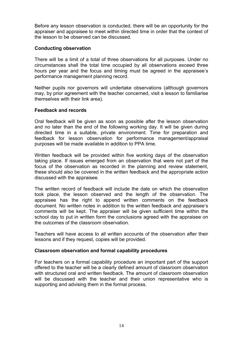Before any lesson observation is conducted, there will be an opportunity for the appraiser and appraisee to meet within directed time in order that the context of the lesson to be observed can be discussed.

#### **Conducting observation**

There will be a limit of a total of three observations for all purposes. Under no circumstances shall the total time occupied by all observations exceed three hours per year and the focus and timing must be agreed in the appraisee's performance management planning record.

Neither pupils nor governors will undertake observations (although governors may, by prior agreement with the teacher concerned, visit a lesson to familiarise themselves with their link area).

#### **Feedback and records**

Oral feedback will be given as soon as possible after the lesson observation and no later than the end of the following working day. It will be given during directed time in a suitable, private environment. Time for preparation and feedback for lesson observation for performance management/appraisal purposes will be made available in addition to PPA time.

Written feedback will be provided within five working days of the observation taking place. If issues emerged from an observation that were not part of the focus of the observation as recorded in the planning and review statement, these should also be covered in the written feedback and the appropriate action discussed with the appraisee.

The written record of feedback will include the date on which the observation took place, the lesson observed and the length of the observation. The appraisee has the right to append written comments on the feedback document. No written notes in addition to the written feedback and appraisee's comments will be kept. The appraiser will be given sufficient time within the school day to put in written form the conclusions agreed with the appraisee on the outcomes of the classroom observation.

Teachers will have access to all written accounts of the observation after their lessons and if they request, copies will be provided.

#### **Classroom observation and formal capability procedures**

For teachers on a formal capability procedure an important part of the support offered to the teacher will be a clearly defined amount of classroom observation with structured oral and written feedback. The amount of classroom observation will be discussed with the teacher and their union representative who is supporting and advising them in the formal process.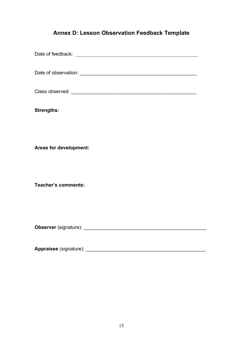## **Annex D: Lesson Observation Feedback Template**

Date of feedback: \_\_\_\_\_\_\_\_\_\_\_\_\_\_\_\_\_\_\_\_\_\_\_\_\_\_\_\_\_\_\_\_\_\_\_\_\_\_\_\_\_\_\_\_\_\_\_\_\_\_ Date of observation: **Example 20** and 20 and 20 and 20 and 20 and 20 and 20 and 20 and 20 and 20 and 20 and 20 and 20 and 20 and 20 and 20 and 20 and 20 and 20 and 20 and 20 and 20 and 20 and 20 and 20 and 20 and 20 and 20 Class observed: \_\_\_\_\_\_\_\_\_\_\_\_\_\_\_\_\_\_\_\_\_\_\_\_\_\_\_\_\_\_\_\_\_\_\_\_\_\_\_\_\_\_\_\_\_\_ **Strengths: Areas for development: Teacher's comments: Observer** (signature): \_\_\_\_\_\_\_\_\_\_\_\_\_\_\_\_\_\_\_\_\_\_\_\_\_\_\_\_\_\_\_\_\_\_\_\_\_\_\_\_\_\_\_\_\_ **Appraisee** (signature): \_\_\_\_\_\_\_\_\_\_\_\_\_\_\_\_\_\_\_\_\_\_\_\_\_\_\_\_\_\_\_\_\_\_\_\_\_\_\_\_\_\_\_\_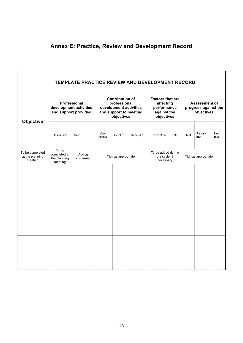## **Annex E: Practice, Review and Development Record**

| TEMPLATE PRACTICE REVIEW AND DEVELOPMENT RECORD |                                                                |                     |                                                                                                          |         |                                                                                  |             |                                                            |     |                  |            |
|-------------------------------------------------|----------------------------------------------------------------|---------------------|----------------------------------------------------------------------------------------------------------|---------|----------------------------------------------------------------------------------|-------------|------------------------------------------------------------|-----|------------------|------------|
|                                                 | Professional<br>development activities<br>and support provided |                     | <b>Contribution of</b><br>professional<br>development activities<br>and support to meeting<br>objectives |         | <b>Factors that are</b><br>affecting<br>performance<br>against the<br>objectives |             | <b>Assessment of</b><br>progress against the<br>objectives |     |                  |            |
| Objective                                       | Description                                                    | Date                | Very<br>helpful                                                                                          | Helpful | Unhelpful                                                                        | Description | Date                                                       | Met | Partially<br>met | Not<br>met |
| To be completed<br>at the planning<br>meeting   | To be<br>completed at<br>the planning<br>meeting               | Add as<br>confirmed | Tick as appropriate                                                                                      |         | To be added during<br>the cycle, if<br>necessary                                 |             | Tick as appropriate                                        |     |                  |            |
|                                                 |                                                                |                     |                                                                                                          |         |                                                                                  |             |                                                            |     |                  |            |
|                                                 |                                                                |                     |                                                                                                          |         |                                                                                  |             |                                                            |     |                  |            |
|                                                 |                                                                |                     |                                                                                                          |         |                                                                                  |             |                                                            |     |                  |            |
|                                                 |                                                                |                     |                                                                                                          |         |                                                                                  |             |                                                            |     |                  |            |
|                                                 |                                                                |                     |                                                                                                          |         |                                                                                  |             |                                                            |     |                  |            |
|                                                 |                                                                |                     |                                                                                                          |         |                                                                                  |             |                                                            |     |                  |            |